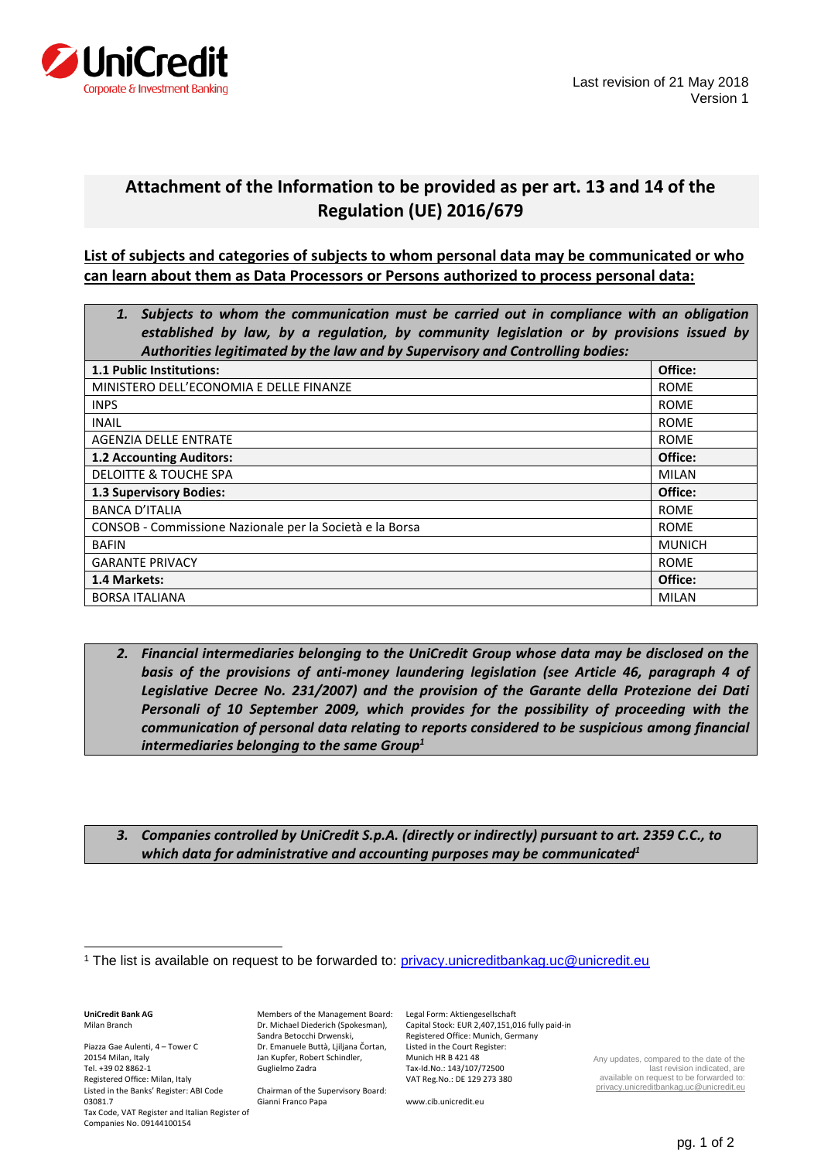

## **Attachment of the Information to be provided as per art. 13 and 14 of the Regulation (UE) 2016/679**

**List of subjects and categories of subjects to whom personal data may be communicated or who can learn about them as Data Processors or Persons authorized to process personal data:**

| Subjects to whom the communication must be carried out in compliance with an obligation<br>established by law, by a regulation, by community legislation or by provisions issued by |               |
|-------------------------------------------------------------------------------------------------------------------------------------------------------------------------------------|---------------|
| Authorities legitimated by the law and by Supervisory and Controlling bodies:                                                                                                       |               |
| <b>1.1 Public Institutions:</b>                                                                                                                                                     | Office:       |
| MINISTERO DELL'ECONOMIA E DELLE FINANZE                                                                                                                                             | <b>ROME</b>   |
| <b>INPS</b>                                                                                                                                                                         | <b>ROME</b>   |
| <b>INAIL</b>                                                                                                                                                                        | <b>ROME</b>   |
| AGENZIA DELLE ENTRATE                                                                                                                                                               | <b>ROME</b>   |
| <b>1.2 Accounting Auditors:</b>                                                                                                                                                     | Office:       |
| DELOITTE & TOUCHE SPA                                                                                                                                                               | <b>MILAN</b>  |
| <b>1.3 Supervisory Bodies:</b>                                                                                                                                                      | Office:       |
| <b>BANCA D'ITALIA</b>                                                                                                                                                               | <b>ROME</b>   |
| CONSOB - Commissione Nazionale per la Società e la Borsa                                                                                                                            | <b>ROME</b>   |
| <b>BAFIN</b>                                                                                                                                                                        | <b>MUNICH</b> |
| <b>GARANTE PRIVACY</b>                                                                                                                                                              | <b>ROME</b>   |
| 1.4 Markets:                                                                                                                                                                        | Office:       |
| <b>BORSA ITALIANA</b>                                                                                                                                                               | <b>MILAN</b>  |

- *2. Financial intermediaries belonging to the UniCredit Group whose data may be disclosed on the basis of the provisions of anti-money laundering legislation (see Article 46, paragraph 4 of Legislative Decree No. 231/2007) and the provision of the Garante della Protezione dei Dati Personali of 10 September 2009, which provides for the possibility of proceeding with the communication of personal data relating to reports considered to be suspicious among financial intermediaries belonging to the same Group<sup>1</sup>*
- *3. Companies controlled by UniCredit S.p.A. (directly or indirectly) pursuant to art. 2359 C.C., to which data for administrative and accounting purposes may be communicated<sup>1</sup>*

**UniCredit Bank AG** Milan Branch

l

Piazza Gae Aulenti, 4 – Tower C 20154 Milan, Italy Tel. +39 02 8862-1 Registered Office: Milan, Italy Listed in the Banks' Register: ABI Code 03081.7 Tax Code, VAT Register and Italian Register of Companies No. 09144100154

Members of the Management Board: Legal Form: Aktiengesellschaft Dr. Michael Diederich (Spokesman), Sandra Betocchi Drwenski, Dr. Emanuele Buttà, Ljiljana Čortan, Jan Kupfer, Robert Schindler, Guglielmo Zadra

Chairman of the Supervisory Board: Gianni Franco Papa

Capital Stock: EUR 2,407,151,016 fully paid-in Registered Office: Munich, Germany Listed in the Court Register: Munich HR B 421 48 Tax-Id.No.: 143/107/72500 VAT Reg.No.: DE 129 273 380

www.cib.unicredit.eu

Any updates, compared to the date of the last revision indicated, are available on request to be forwarded to: [privacy.unicreditbankag.uc@unicredit.eu](file:///C:/Users/catia.grassia/Desktop/Old_Desktop/Old_Desktop/GDPR/00_UC%20AG%20-%20Milan%20Branch/Informative%20e%20Consensi/Elenchi/privacy.unicreditbankag.uc@unicredit.eu)

<sup>&</sup>lt;sup>1</sup> The list is available on request to be forwarded to:<privacy.unicreditbankag.uc@unicredit.eu>